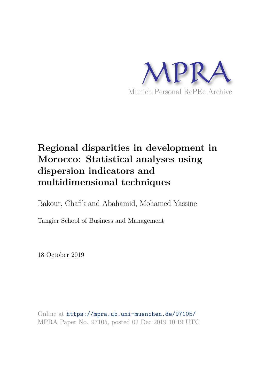

# **Regional disparities in development in Morocco: Statistical analyses using dispersion indicators and multidimensional techniques**

Bakour, Chafik and Abahamid, Mohamed Yassine

Tangier School of Business and Management

18 October 2019

Online at https://mpra.ub.uni-muenchen.de/97105/ MPRA Paper No. 97105, posted 02 Dec 2019 10:19 UTC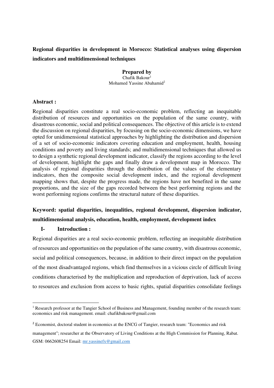# **Regional disparities in development in Morocco: Statistical analyses using dispersion indicators and multidimensional techniques**

**Prepared by**  Chafik Bakour $1$ Mohamed Yassine Abahamid<sup>2</sup>

## **Abstract :**

Regional disparities constitute a real socio-economic problem, reflecting an inequitable distribution of resources and opportunities on the population of the same country, with disastrous economic, social and political consequences. The objective of this article is to extend the discussion on regional disparities, by focusing on the socio-economic dimensions, we have opted for unidimensional statistical approaches by highlighting the distribution and dispersion of a set of socio-economic indicators covering education and employment, health, housing conditions and poverty and living standards; and multidimensional techniques that allowed us to design a synthetic regional development indicator, classify the regions according to the level of development, highlight the gaps and finally draw a development map in Morocco. The analysis of regional disparities through the distribution of the values of the elementary indicators, then the composite social development index, and the regional development mapping shows that, despite the progress made, the regions have not benefited in the same proportions, and the size of the gaps recorded between the best performing regions and the worst performing regions confirms the structural nature of these disparities.

# **Keyword: spatial disparities, inequalities, regional development, dispersion indicator, multidimensional analysis, education, health, employment, development index**

## **I- Introduction :**

Regional disparities are a real socio-economic problem, reflecting an inequitable distribution of resources and opportunities on the population of the same country, with disastrous economic, social and political consequences, because, in addition to their direct impact on the population of the most disadvantaged regions, which find themselves in a vicious circle of difficult living conditions characterised by the multiplication and reproduction of deprivation, lack of access to resources and exclusion from access to basic rights, spatial disparities consolidate feelings

management"; researcher at the Observatory of Living Conditions at the High Commission for Planning, Rabat. GSM: 0662608254 Email: [mr.yassinefx@gmail.com](mailto:mr.yassinefx@gmail.com)

<sup>&</sup>lt;sup>1</sup> Research professor at the Tangier School of Business and Management, founding member of the research team: economics and risk management. email: chafikbakour@gmail.com

<sup>&</sup>lt;sup>2</sup> Economist, doctoral student in economics at the ENCG of Tangier, research team: "Economics and risk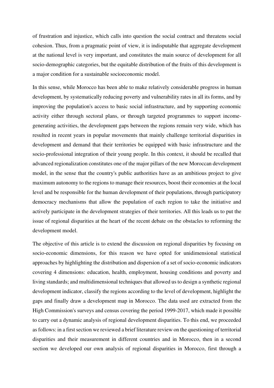of frustration and injustice, which calls into question the social contract and threatens social cohesion. Thus, from a pragmatic point of view, it is indisputable that aggregate development at the national level is very important, and constitutes the main source of development for all socio-demographic categories, but the equitable distribution of the fruits of this development is a major condition for a sustainable socioeconomic model.

In this sense, while Morocco has been able to make relatively considerable progress in human development, by systematically reducing poverty and vulnerability rates in all its forms, and by improving the population's access to basic social infrastructure, and by supporting economic activity either through sectoral plans, or through targeted programmes to support incomegenerating activities, the development gaps between the regions remain very wide, which has resulted in recent years in popular movements that mainly challenge territorial disparities in development and demand that their territories be equipped with basic infrastructure and the socio-professional integration of their young people. In this context, it should be recalled that advanced regionalization constitutes one of the major pillars of the new Moroccan development model, in the sense that the country's public authorities have as an ambitious project to give maximum autonomy to the regions to manage their resources, boost their economies at the local level and be responsible for the human development of their populations, through participatory democracy mechanisms that allow the population of each region to take the initiative and actively participate in the development strategies of their territories. All this leads us to put the issue of regional disparities at the heart of the recent debate on the obstacles to reforming the development model.

The objective of this article is to extend the discussion on regional disparities by focusing on socio-economic dimensions, for this reason we have opted for unidimensional statistical approaches by highlighting the distribution and dispersion of a set of socio-economic indicators covering 4 dimensions: education, health, employment, housing conditions and poverty and living standards; and multidimensional techniques that allowed us to design a synthetic regional development indicator, classify the regions according to the level of development, highlight the gaps and finally draw a development map in Morocco. The data used are extracted from the High Commission's surveys and census covering the period 1999-2017, which made it possible to carry out a dynamic analysis of regional development disparities. To this end, we proceeded as follows: in a first section we reviewed a brief literature review on the questioning of territorial disparities and their measurement in different countries and in Morocco, then in a second section we developed our own analysis of regional disparities in Morocco, first through a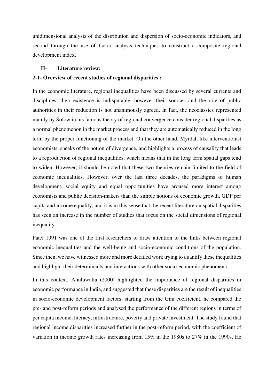unidimensional analysis of the distribution and dispersion of socio-economic indicators, and second through the use of factor analysis techniques to construct a composite regional development index.

#### **II- Literature review:**

## **2-1- Overview of recent studies of regional disparities :**

In the economic literature, regional inequalities have been discussed by several currents and disciplines, their existence is indisputable, however their sources and the role of public authorities in their reduction is not unanimously agreed. In fact, the neoclassics represented mainly by Solow in his famous theory of regional convergence consider regional disparities as a normal phenomenon in the market process and that they are automatically reduced in the long term by the proper functioning of the market. On the other hand, Myrdal, like interventionist economists, speaks of the notion of divergence, and highlights a process of causality that leads to a reproduction of regional inequalities, which means that in the long term spatial gaps tend to widen. However, it should be noted that these two theories remain limited to the field of economic inequalities. However, over the last three decades, the paradigms of human development, social equity and equal opportunities have aroused more interest among economists and public decision-makers than the simple notions of economic growth, GDP per capita and income equality, and it is in this sense that the recent literature on spatial disparities has seen an increase in the number of studies that focus on the social dimensions of regional inequality.

Patel 1991 was one of the first researchers to draw attention to the links between regional economic inequalities and the well-being and socio-economic conditions of the population. Since then, we have witnessed more and more detailed work trying to quantify these inequalities and highlight their determinants and interactions with other socio-economic phenomena.

In this context, Ahuluwalia (2000) highlighted the importance of regional disparities in economic performance in India, and suggested that these disparities are the result of inequalities in socio-economic development factors; starting from the Gini coefficient, he compared the pre- and post-reform periods and analysed the performance of the different regions in terms of per capita income, literacy, infrastructure, poverty and private investment. The study found that regional income disparities increased further in the post-reform period, with the coefficient of variation in income growth rates increasing from 15% in the 1980s to 27% in the 1990s. He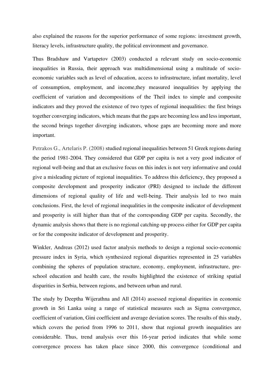also explained the reasons for the superior performance of some regions: investment growth, literacy levels, infrastructure quality, the political environment and governance.

Thus Bradshaw and Vartapetov (2003) conducted a relevant study on socio-economic inequalities in Russia, their approach was multidimensional using a multitude of socioeconomic variables such as level of education, access to infrastructure, infant mortality, level of consumption, employment, and income,they measured inequalities by applying the coefficient of variation and decompositions of the Theil index to simple and composite indicators and they proved the existence of two types of regional inequalities: the first brings together converging indicators, which means that the gaps are becoming less and less important, the second brings together diverging indicators, whose gaps are becoming more and more important.

Petrakos G., Artelaris P. (2008) studied regional inequalities between 51 Greek regions during the period 1981-2004. They considered that GDP per capita is not a very good indicator of regional well-being and that an exclusive focus on this index is not very informative and could give a misleading picture of regional inequalities. To address this deficiency, they proposed a composite development and prosperity indicator (PRI) designed to include the different dimensions of regional quality of life and well-being. Their analysis led to two main conclusions. First, the level of regional inequalities in the composite indicator of development and prosperity is still higher than that of the corresponding GDP per capita. Secondly, the dynamic analysis shows that there is no regional catching-up process either for GDP per capita or for the composite indicator of development and prosperity.

Winkler, Andreas (2012) used factor analysis methods to design a regional socio-economic pressure index in Syria, which synthesized regional disparities represented in 25 variables combining the spheres of population structure, economy, employment, infrastructure, preschool education and health care, the results highlighted the existence of striking spatial disparities in Serbia, between regions, and between urban and rural.

The study by Deeptha Wijerathna and All (2014) assessed regional disparities in economic growth in Sri Lanka using a range of statistical measures such as Sigma convergence, coefficient of variation, Gini coefficient and average deviation scores. The results of this study, which covers the period from 1996 to 2011, show that regional growth inequalities are considerable. Thus, trend analysis over this 16-year period indicates that while some convergence process has taken place since 2000, this convergence (conditional and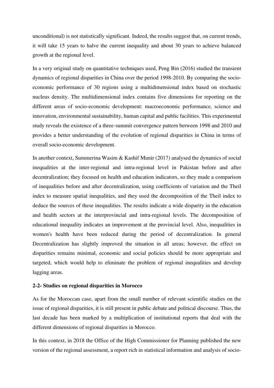unconditional) is not statistically significant. Indeed, the results suggest that, on current trends, it will take 15 years to halve the current inequality and about 30 years to achieve balanced growth at the regional level.

In a very original study on quantitative techniques used, Peng Bin (2016) studied the transient dynamics of regional disparities in China over the period 1998-2010. By comparing the socioeconomic performance of 30 regions using a multidimensional index based on stochastic nucleus density. The multidimensional index contains five dimensions for reporting on the different areas of socio-economic development: macroeconomic performance, science and innovation, environmental sustainability, human capital and public facilities. This experimental study reveals the existence of a three-summit convergence pattern between 1998 and 2010 and provides a better understanding of the evolution of regional disparities in China in terms of overall socio-economic development.

In another context, Summerina Wasim & Kashif Munir (2017) analysed the dynamics of social inequalities at the inter-regional and intra-regional level in Pakistan before and after decentralization; they focused on health and education indicators, so they made a comparison of inequalities before and after decentralization, using coefficients of variation and the Theil index to measure spatial inequalities, and they used the decomposition of the Theil index to deduce the sources of these inequalities. The results indicate a wide disparity in the education and health sectors at the interprovincial and intra-regional levels. The decomposition of educational inequality indicates an improvement at the provincial level. Also, inequalities in women's health have been reduced during the period of decentralization. In general Decentralization has slightly improved the situation in all areas; however, the effect on disparities remains minimal, economic and social policies should be more appropriate and targeted, which would help to eliminate the problem of regional inequalities and develop lagging areas.

#### **2-2- Studies on regional disparities in Morocco**

As for the Moroccan case, apart from the small number of relevant scientific studies on the issue of regional disparities, it is still present in public debate and political discourse. Thus, the last decade has been marked by a multiplication of institutional reports that deal with the different dimensions of regional disparities in Morocco.

In this context, in 2018 the Office of the High Commissioner for Planning published the new version of the regional assessment, a report rich in statistical information and analysis of socio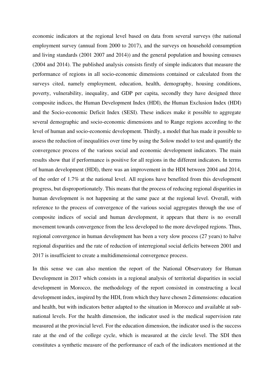economic indicators at the regional level based on data from several surveys (the national employment survey (annual from 2000 to 2017), and the surveys on household consumption and living standards (2001 2007 and 2014)) and the general population and housing censuses (2004 and 2014). The published analysis consists firstly of simple indicators that measure the performance of regions in all socio-economic dimensions contained or calculated from the surveys cited, namely employment, education, health, demography, housing conditions, poverty, vulnerability, inequality, and GDP per capita, secondly they have designed three composite indices, the Human Development Index (HDI), the Human Exclusion Index (HDI) and the Socio-economic Deficit Index (SESI). These indices make it possible to aggregate several demographic and socio-economic dimensions and to Range regions according to the level of human and socio-economic development. Thirdly, a model that has made it possible to assess the reduction of inequalities over time by using the Solow model to test and quantify the convergence process of the various social and economic development indicators. The main results show that if performance is positive for all regions in the different indicators. In terms of human development (HDI), there was an improvement in the HDI between 2004 and 2014, of the order of 1.7% at the national level. All regions have benefited from this development progress, but disproportionately. This means that the process of reducing regional disparities in human development is not happening at the same pace at the regional level. Overall, with reference to the process of convergence of the various social aggregates through the use of composite indices of social and human development, it appears that there is no overall movement towards convergence from the less developed to the more developed regions. Thus, regional convergence in human development has been a very slow process (27 years) to halve regional disparities and the rate of reduction of interregional social deficits between 2001 and 2017 is insufficient to create a multidimensional convergence process.

In this sense we can also mention the report of the National Observatory for Human Development in 2017 which consists in a regional analysis of territorial disparities in social development in Morocco, the methodology of the report consisted in constructing a local development index, inspired by the HDI, from which they have chosen 2 dimensions: education and health, but with indicators better adapted to the situation in Morocco and available at subnational levels. For the health dimension, the indicator used is the medical supervision rate measured at the provincial level. For the education dimension, the indicator used is the success rate at the end of the college cycle, which is measured at the circle level. The SDI then constitutes a synthetic measure of the performance of each of the indicators mentioned at the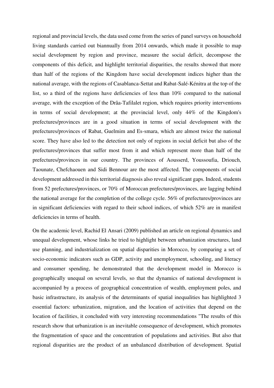regional and provincial levels, the data used come from the series of panel surveys on household living standards carried out biannually from 2014 onwards, which made it possible to map social development by region and province, measure the social deficit, decompose the components of this deficit, and highlight territorial disparities, the results showed that more than half of the regions of the Kingdom have social development indices higher than the national average, with the regions of Casablanca-Settat and Rabat-Salé-Kénitra at the top of the list, so a third of the regions have deficiencies of less than 10% compared to the national average, with the exception of the Drâa-Tafilalet region, which requires priority interventions in terms of social development; at the provincial level, only 44% of the Kingdom's prefectures/provinces are in a good situation in terms of social development with the prefectures/provinces of Rabat, Guelmim and Es-smara, which are almost twice the national score. They have also led to the detection not only of regions in social deficit but also of the prefectures/provinces that suffer most from it and which represent more than half of the prefectures/provinces in our country. The provinces of Aousserd, Youssoufia, Driouch, Taounate, Chefchaouen and Sidi Bennour are the most affected. The components of social development addressed in this territorial diagnosis also reveal significant gaps. Indeed, students from 52 prefectures/provinces, or 70% of Moroccan prefectures/provinces, are lagging behind the national average for the completion of the college cycle. 56% of prefectures/provinces are in significant deficiencies with regard to their school indices, of which 52% are in manifest deficiencies in terms of health.

On the academic level, Rachid El Ansari (2009) published an article on regional dynamics and unequal development, whose links he tried to highlight between urbanization structures, land use planning, and industrialization on spatial disparities in Morocco, by comparing a set of socio-economic indicators such as GDP, activity and unemployment, schooling, and literacy and consumer spending, he demonstrated that the development model in Morocco is geographically unequal on several levels, so that the dynamics of national development is accompanied by a process of geographical concentration of wealth, employment poles, and basic infrastructure, its analysis of the determinants of spatial inequalities has highlighted 3 essential factors: urbanization, migration, and the location of activities that depend on the location of facilities, it concluded with very interesting recommendations "The results of this research show that urbanization is an inevitable consequence of development, which promotes the fragmentation of space and the concentration of populations and activities. But also that regional disparities are the product of an unbalanced distribution of development. Spatial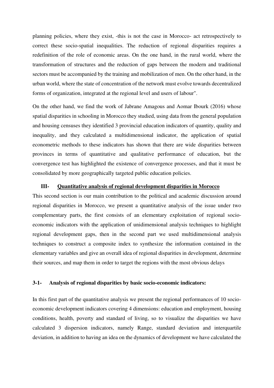planning policies, where they exist, -this is not the case in Morocco- act retrospectively to correct these socio-spatial inequalities. The reduction of regional disparities requires a redefinition of the role of economic areas. On the one hand, in the rural world, where the transformation of structures and the reduction of gaps between the modern and traditional sectors must be accompanied by the training and mobilization of men. On the other hand, in the urban world, where the state of concentration of the network must evolve towards decentralized forms of organization, integrated at the regional level and users of labour".

On the other hand, we find the work of Jabrane Amagous and Aomar Ibourk (2016) whose spatial disparities in schooling in Morocco they studied, using data from the general population and housing censuses they identified 3 provincial education indicators of quantity, quality and inequality, and they calculated a multidimensional indicator, the application of spatial econometric methods to these indicators has shown that there are wide disparities between provinces in terms of quantitative and qualitative performance of education, but the convergence test has highlighted the existence of convergence processes, and that it must be consolidated by more geographically targeted public education policies.

#### **III- Quantitative analysis of regional development disparities in Morocco**

This second section is our main contribution to the political and academic discussion around regional disparities in Morocco, we present a quantitative analysis of the issue under two complementary parts, the first consists of an elementary exploitation of regional socioeconomic indicators with the application of unidimensional analysis techniques to highlight regional development gaps, then in the second part we used multidimensional analysis techniques to construct a composite index to synthesize the information contained in the elementary variables and give an overall idea of regional disparities in development, determine their sources, and map them in order to target the regions with the most obvious delays

#### **3-1- Analysis of regional disparities by basic socio-economic indicators:**

In this first part of the quantitative analysis we present the regional performances of 10 socioeconomic development indicators covering 4 dimensions: education and employment, housing conditions, health, poverty and standard of living, so to visualize the disparities we have calculated 3 dispersion indicators, namely Range, standard deviation and interquartile deviation, in addition to having an idea on the dynamics of development we have calculated the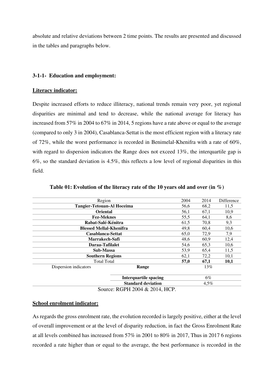absolute and relative deviations between 2 time points. The results are presented and discussed in the tables and paragraphs below.

#### **3-1-1- Education and employment:**

#### **Literacy indicator:**

Despite increased efforts to reduce illiteracy, national trends remain very poor, yet regional disparities are minimal and tend to decrease, while the national average for literacy has increased from 57% in 2004 to 67% in 2014, 5 regions have a rate above or equal to the average (compared to only 3 in 2004), Casablanca-Settat is the most efficient region with a literacy rate of 72%, while the worst performance is recorded in Benimelal-Khenifra with a rate of 60%, with regard to dispersion indicators the Range does not exceed 13%, the interquartile gap is 6%, so the standard deviation is 4.5%, this reflects a low level of regional disparities in this field.

| Region                                       |                                         | 2004                 | 2014    | Difference |
|----------------------------------------------|-----------------------------------------|----------------------|---------|------------|
| <b>Tangier-Tetouan-Al Hoceima</b>            |                                         | 56,6                 | 68,2    | 11,5       |
| <b>Oriental</b>                              |                                         | 56,1                 | 67.1    | 10,9       |
| <b>Fez-Meknes</b>                            |                                         | 55,5                 | 64,1    | 8,6        |
| Rabat-Salé-Kénitra                           |                                         | 61,5                 | 70,8    | 9,3        |
| <b>Blessed Mellal-Khenifra</b>               |                                         | 49,8                 | 60,4    | 10,6       |
| Casablanca-Settat                            |                                         | 65,0                 | 72,9    | 7,9        |
| Marrakech-Safi                               |                                         | 48,6                 | 60,9    | 12,4       |
| Daraa-Tafilalet                              |                                         | 54,6                 | 65,3    | 10,6       |
| Sub-Massa                                    |                                         | 53,9<br>65,4<br>11,5 |         |            |
|                                              | <b>Southern Regions</b><br>72,2<br>62,1 |                      | 10,1    |            |
| <b>Total Total</b>                           |                                         | 57,0                 | 67,1    | 10,1       |
| Dispersion indicators                        | Range                                   |                      | 13%     |            |
|                                              | <b>Interquartile spacing</b>            |                      | $6\%$   |            |
|                                              | <b>Standard deviation</b>               |                      | $4.5\%$ |            |
| $S_{\text{curves}}$ , DCDII 2004 & 2014 IICD |                                         |                      |         |            |

#### **Table 01: Evolution of the literacy rate of the 10 years old and over (in %)**

Source: RGPH 2004 & 2014, HCP.

## **School enrolment indicator:**

As regards the gross enrolment rate, the evolution recorded is largely positive, either at the level of overall improvement or at the level of disparity reduction, in fact the Gross Enrolment Rate at all levels combined has increased from 57% in 2001 to 80% in 2017, Thus in 2017 6 regions recorded a rate higher than or equal to the average, the best performance is recorded in the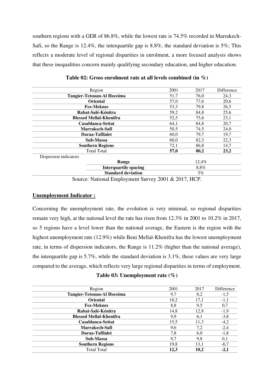southern regions with a GER of 86.8%, while the lowest rate is 74.5% recorded in Marrakech-Safi, so the Range is 12.4%, the interquartile gap is 8.8%, the standard deviation is 5%; This reflects a moderate level of regional disparities in enrolment, a more focused analysis shows that these inequalities concern mainly qualifying secondary education, and higher education.

| Region                                                     | 2001 | 2017  | Difference |
|------------------------------------------------------------|------|-------|------------|
| <b>Tangier-Tetouan-Al Hoceima</b>                          | 51.7 | 76,0  | 24,3       |
| <b>Oriental</b>                                            | 57,0 | 77,6  | 20,6       |
| <b>Fez-Meknes</b>                                          | 53,3 | 79,8  | 26,5       |
| Rabat-Salé-Kénitra                                         | 59,2 | 84,8  | 25,6       |
| <b>Blessed Mellal-Khenifra</b>                             | 52,5 | 75,6  | 23,1       |
| Casablanca-Settat                                          | 64,1 | 84,8  | 20,7       |
| Marrakech-Safi                                             | 50,5 | 74,5  | 24,0       |
| Daraa-Tafilalet                                            | 60,0 | 79,7  | 19,7       |
| Sub-Massa                                                  | 60,0 | 82,3  | 22,3       |
| <b>Southern Regions</b>                                    | 72,1 | 86,8  | 14,7       |
| <b>Total Total</b>                                         | 57,0 | 80,2  | 23,2       |
| Dispersion indicators                                      |      |       |            |
| Range                                                      |      | 12,4% |            |
| <b>Interquartile spacing</b>                               |      | 8,8%  |            |
| <b>Standard deviation</b>                                  |      | $5\%$ |            |
| $0.001, 0.0017$ IIOD<br>$\alpha$ and $\alpha$ and $\alpha$ |      |       |            |

|  |  |  | Table 02: Gross enrolment rate at all levels combined (in $\%$ ) |  |  |  |  |
|--|--|--|------------------------------------------------------------------|--|--|--|--|
|--|--|--|------------------------------------------------------------------|--|--|--|--|

Source: National Employment Survey 2001 & 2017, HCP.

## **Unemployment Indicator :**

Concerning the unemployment rate, the evolution is very minimal, so regional disparities remain very high, at the national level the rate has risen from 12.3% in 2001 to 10.2% in 2017, so 5 regions have a level lower than the national average, the Eastern is the region with the highest unemployment rate (12.9%) while Beni Mellal-Khenifra has the lowest unemployment rate, in terms of dispersion indicators, the Range is 11.2% (higher than the national average), the interquartile gap is 5.7%, while the standard deviation is 3.1%, these values are very large compared to the average, which reflects very large regional disparities in terms of employment.

# **Table 03: Unemployment rate (%)**

| Region                            | 2001 | 2017 | Difference |
|-----------------------------------|------|------|------------|
| <b>Tangier-Tetouan-Al Hoceima</b> | 9,7  | 8,2  | $-1,5$     |
| <b>Oriental</b>                   | 18,2 | 17,1 | $-1,1$     |
| <b>Fez-Meknes</b>                 | 8,8  | 9,5  | 0,7        |
| Rabat-Salé-Kénitra                | 14,8 | 12,9 | $-1,9$     |
| <b>Blessed Mellal-Khenifra</b>    | 9,9  | 6,1  | $-3,8$     |
| Casablanca-Settat                 | 15,5 | 11,3 | $-4,2$     |
| Marrakech-Safi                    | 9,6  | 7,2  | $-2,4$     |
| Daraa-Tafilalet                   | 7,8  | 6,0  | $-1,8$     |
| Sub-Massa                         | 9,7  | 9,8  | 0,1        |
| <b>Southern Regions</b>           | 19,8 | 13,1 | $-6,7$     |
| <b>Total Total</b>                | 12,3 | 10,2 | $-2,1$     |
|                                   |      |      |            |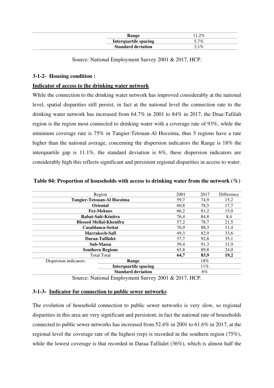| Range                        | $.2\%$  |
|------------------------------|---------|
| <b>Interquartile spacing</b> | $5.7\%$ |
| <b>Standard deviation</b>    | $3.1\%$ |

Source: National Employment Survey 2001 & 2017, HCP.

# **3-1-2- Housing condition :**

## **Indicator of access to the drinking water network**

While the connection to the drinking water network has improved considerably at the national level, spatial disparities still persist, in fact at the national level the connection rate to the drinking water network has increased from 64.7% in 2001 to 84% in 2017, the Draa-Tafilalt region is the region most connected to drinking water with a coverage rate of 93%, while the minimum coverage rate is 75% in Tangier-Tetouan-Al Hoceima, thus 5 regions have a rate higher than the national average, concerning the dispersion indicators the Range is 18% the interquartile gap is 11.1%, the standard deviation is 6%, these dispersion indicators are considerably high this reflects significant and persistent regional disparities in access to water.

|                       | Region                            | 2001 | 2017 | <b>Difference</b> |
|-----------------------|-----------------------------------|------|------|-------------------|
|                       | <b>Tangier-Tetouan-Al Hoceima</b> | 59,7 | 74.9 | 15,2              |
|                       | <b>Oriental</b>                   | 60,8 | 78,5 | 17,7              |
|                       | <b>Fez-Meknes</b>                 | 66,2 | 81,2 | 15,0              |
|                       | Rabat-Salé-Kénitra                | 76,4 | 84,8 | 8,4               |
|                       | <b>Blessed Mellal-Khenifra</b>    | 57,2 | 78,7 | 21,5              |
|                       | Casablanca-Settat                 | 76.9 | 88.3 | 11,4              |
|                       | Marrakech-Safi                    | 49,3 | 82,9 | 33,6              |
|                       | Daraa-Tafilalet                   | 57,7 | 92,8 | 35,1              |
|                       | Sub-Massa                         | 59,4 | 91,3 | 31,9              |
|                       | <b>Southern Regions</b>           | 65,8 | 89.8 | 24.0              |
|                       | <b>Total Total</b>                | 64.7 | 83,9 | 19,2              |
| Dispersion indicators | Range                             |      | 18%  |                   |
|                       | <b>Interquartile spacing</b>      |      | 11%  |                   |
|                       | <b>Standard deviation</b>         |      | 6%   |                   |
|                       |                                   |      |      |                   |

#### **Table 04: Proportion of households with access to drinking water from the network (%)**

Source: National Employment Survey 2001 & 2017, HCP.

# **3-1-3- Indicator for connection to public sewer networks**

The evolution of household connection to public sewer networks is very slow, so regional disparities in this area are very significant and persistent, in fact the national rate of households connected to public sewer networks has increased from 52.4% in 2001 to 61.6% in 2017, at the regional level the coverage rate of the highest (rep) is recorded in the southern region (75%), while the lowest coverage is that recorded in Daraa-Tafilalet (36%), which is almost half the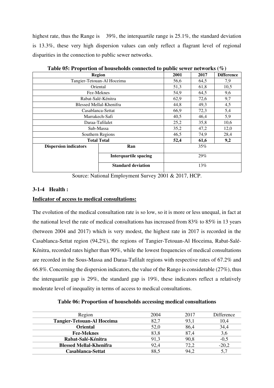highest rate, thus the Range is 39%, the interquartile range is 25.1%, the standard deviation is 13.3%, these very high dispersion values can only reflect a flagrant level of regional disparities in the connection to public sewer networks.

|                              | <b>Region</b>                | 2001 | 2017 | <b>Difference</b> |
|------------------------------|------------------------------|------|------|-------------------|
|                              | Tangier-Tetouan-Al Hoceima   | 56,6 | 64,5 | 7,9               |
| Oriental                     |                              | 51,3 | 61,8 | 10,5              |
| Fez-Meknes                   |                              | 54,9 | 64,5 | 9,6               |
|                              | Rabat-Salé-Kénitra           | 62,9 | 72,6 | 9,7               |
| Blessed Mellal-Khenifra      |                              | 44,8 | 49,3 | 4,5               |
| Casablanca-Settat            |                              | 66,9 | 72,3 | 5,4               |
| Marrakech-Safi               |                              | 40,5 | 46,4 | 5,9               |
| Daraa-Tafilalet              |                              | 25,2 | 35,8 | 10,6              |
| Sub-Massa                    |                              | 35,2 | 47,2 | 12,0              |
| Southern Regions             |                              | 46,5 | 74,9 | 28,4              |
| <b>Total Total</b>           |                              | 52,4 | 61,6 | 9,2               |
| <b>Dispersion indicators</b> | Ran                          |      | 35%  |                   |
|                              | <b>Interquartile spacing</b> |      | 29%  |                   |
|                              | <b>Standard deviation</b>    |      | 13%  |                   |

**Table 05: Proportion of households connected to public sewer networks (%)** 

Source: National Employment Survey 2001 & 2017, HCP.

# **3-1-4 Health :**

## **Indicator of access to medical consultations:**

The evolution of the medical consultation rate is so low, so it is more or less unequal, in fact at the national level the rate of medical consultations has increased from 83% to 85% in 13 years (between 2004 and 2017) which is very modest, the highest rate in 2017 is recorded in the Casablanca-Settat region (94,2%), the regions of Tangier-Tetouan-Al Hoceima, Rabat-Salé-Kénitra, recorded rates higher than 90%, while the lowest frequencies of medical consultations are recorded in the Sous-Massa and Daraa-Tafilalt regions with respective rates of 67.2% and 66.8%. Concerning the dispersion indicators, the value of the Range is considerable (27%), thus the interquartile gap is 29%, the standard gap is 19%, these indicators reflect a relatively moderate level of inequality in terms of access to medical consultations.

#### **Table 06: Proportion of households accessing medical consultations**

| Region                            | 2004 | 2017 | Difference |
|-----------------------------------|------|------|------------|
| <b>Tangier-Tetouan-Al Hoceima</b> | 82,7 | 93,1 | 10,4       |
| <b>Oriental</b>                   | 52,0 | 86,4 | 34,4       |
| <b>Fez-Meknes</b>                 | 83,8 | 87.4 | 3,6        |
| Rabat-Salé-Kénitra                | 91,3 | 90,8 | $-0,5$     |
| <b>Blessed Mellal-Khenifra</b>    | 92,4 | 72,2 | $-20,2$    |
| Casablanca-Settat                 | 88.5 | 94,2 |            |
|                                   |      |      |            |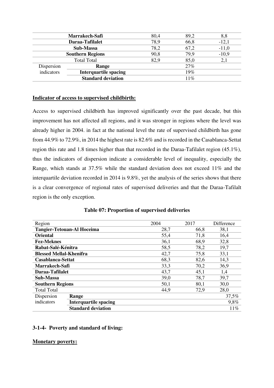|                 | Marrakech-Safi               | 80,4 | 89,2 | 8,8     |
|-----------------|------------------------------|------|------|---------|
| Daraa-Tafilalet |                              | 78,9 | 66,8 | $-12,1$ |
| Sub-Massa       |                              | 78,2 | 67,2 | $-11,0$ |
|                 | <b>Southern Regions</b>      |      | 79,9 | $-10,9$ |
|                 | <b>Total Total</b>           | 82,9 | 85,0 | 2,1     |
| Dispersion      | Range                        |      | 27%  |         |
| indicators      | <b>Interquartile spacing</b> |      | 19%  |         |
|                 | <b>Standard deviation</b>    |      | 11%  |         |
|                 |                              |      |      |         |

### **Indicator of access to supervised childbirth:**

Access to supervised childbirth has improved significantly over the past decade, but this improvement has not affected all regions, and it was stronger in regions where the level was already higher in 2004. in fact at the national level the rate of supervised childbirth has gone from 44.9% to 72.9%, in 2014 the highest rate is 82.6% and is recorded in the Casablanca-Settat region this rate and 1.8 times higher than that recorded in the Daraa-Tafilalet region (45.1%), thus the indicators of dispersion indicate a considerable level of inequality, especially the Range, which stands at 37.5% while the standard deviation does not exceed 11% and the interquartile deviation recorded in 2014 is 9.8%, yet the analysis of the series shows that there is a clear convergence of regional rates of supervised deliveries and that the Daraa-Tafilalt region is the only exception.

| Region                                     | 2004 | 2017 | Difference |
|--------------------------------------------|------|------|------------|
| <b>Tangier-Tetouan-Al Hoceima</b>          | 28,7 | 66,8 | 38,1       |
| <b>Oriental</b>                            | 55,4 | 71,8 | 16,4       |
| <b>Fez-Meknes</b>                          | 36,1 | 68,9 | 32,8       |
| Rabat-Salé-Kénitra                         | 58,5 | 78,2 | 19,7       |
| <b>Blessed Mellal-Khenifra</b>             | 42,7 | 75,8 | 33,1       |
| Casablanca-Settat                          | 68,3 | 82,6 | 14,3       |
| Marrakech-Safi                             | 33,3 | 70,2 | 36,9       |
| Daraa-Tafilalet                            | 43,7 | 45,1 | 1,4        |
| Sub-Massa                                  | 39,0 | 78,7 | 39,7       |
| <b>Southern Regions</b>                    | 50,1 | 80,1 | 30,0       |
| <b>Total Total</b>                         | 44,9 | 72,9 | 28,0       |
| Dispersion<br>Range                        |      |      | 37,5%      |
| indicators<br><b>Interquartile spacing</b> |      |      | 9,8%       |
| <b>Standard deviation</b>                  |      |      | 11%        |

|  |  | Table 07: Proportion of supervised deliveries |  |
|--|--|-----------------------------------------------|--|
|--|--|-----------------------------------------------|--|

#### **3-1-4- Poverty and standard of living:**

#### **Monetary poverty:**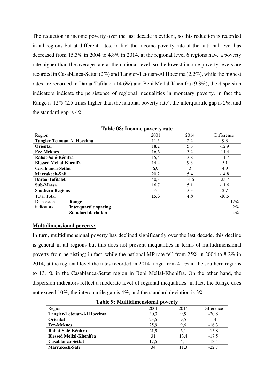The reduction in income poverty over the last decade is evident, so this reduction is recorded in all regions but at different rates, in fact the income poverty rate at the national level has decreased from 15.3% in 2004 to 4.8% in 2014, at the regional level 6 regions have a poverty rate higher than the average rate at the national level, so the lowest income poverty levels are recorded in Casablanca-Settat (2%) and Tangier-Tetouan-Al Hoceima (2,2%), while the highest rates are recorded in Daraa-Tafilalet (14.6%) and Beni Mellal-Khenifra (9.3%), the dispersion indicators indicate the persistence of regional inequalities in monetary poverty, in fact the Range is 12% (2.5 times higher than the national poverty rate), the interquartile gap is 2%, and the standard gap is 4%,

|                                   |                           | Table vol. Income poverty rate |      |            |
|-----------------------------------|---------------------------|--------------------------------|------|------------|
| Region                            |                           | 2001                           | 2014 | Difference |
| <b>Tangier-Tetouan-Al Hoceima</b> |                           | 11,5                           | 2,2  | $-9.3$     |
| <b>Oriental</b>                   |                           | 18,2                           | 5,3  | $-12,9$    |
| <b>Fez-Meknes</b>                 |                           | 16,6                           | 5,2  | $-11,4$    |
| Rabat-Salé-Kénitra                |                           | 15,5                           | 3,8  | $-11,7$    |
| <b>Blessed Mellal-Khenifra</b>    |                           | 14,4                           | 9,3  | $-5,1$     |
| Casablanca-Settat                 |                           | 6,9                            | 2    | $-4,9$     |
| Marrakech-Safi                    |                           | 20,2                           | 5,4  | $-14,8$    |
| Daraa-Tafilalet                   |                           | 40,3                           | 14,6 | $-25,7$    |
| Sub-Massa                         |                           | 16.7                           | 5,1  | $-11,6$    |
| <b>Southern Regions</b>           |                           | 6                              | 3,3  | $-2,7$     |
| <b>Total Total</b>                |                           | 15,3                           | 4,8  | $-10,5$    |
| Dispersion                        | Range                     |                                |      | $-12\%$    |
| indicators                        | Interquartile spacing     |                                |      | $2\%$      |
|                                   | <b>Standard deviation</b> |                                |      | $4\%$      |

| Table 08: Income poverty rate |  |  |  |
|-------------------------------|--|--|--|
|-------------------------------|--|--|--|

#### **Multidimensional poverty:**

In turn, multidimensional poverty has declined significantly over the last decade, this decline is general in all regions but this does not prevent inequalities in terms of multidimensional poverty from persisting; in fact, while the national MP rate fell from 25% in 2004 to 8.2% in 2014, at the regional level the rates recorded in 2014 range from 4.1% in the southern regions to 13.4% in the Casablanca-Settat region in Beni Mellal-Khenifra. On the other hand, the dispersion indicators reflect a moderate level of regional inequalities: in fact, the Range does not exceed 10%, the interquartile gap is 4%, and the standard deviation is 3%.

| raon 7: Mandamichonai poverti     |      |      |            |
|-----------------------------------|------|------|------------|
| Region                            | 2001 | 2014 | Difference |
| <b>Tangier-Tetouan-Al Hoceima</b> | 30,3 | 9,5  | $-20,8$    |
| <b>Oriental</b>                   | 23,5 | 9,5  | $-14$      |
| <b>Fez-Meknes</b>                 | 25,9 | 9,6  | $-16.3$    |
| Rabat-Salé-Kénitra                | 21,9 | 6,1  | $-15,8$    |
| <b>Blessed Mellal-Khenifra</b>    | 31   | 13.4 | $-17.5$    |
| Casablanca-Settat                 | 17.5 | 4.1  | $-13.4$    |
| <b>Marrakech-Safi</b>             | 34   | 11.3 | $-22.7$    |

**Table 9: Multidimensional poverty**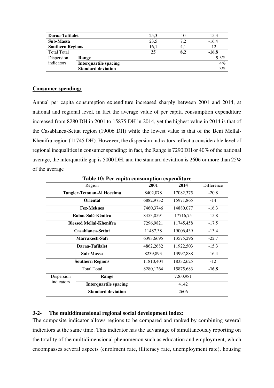| Daraa-Tafilalet         |                              | 25,3 | 10  | $-15.3$ |
|-------------------------|------------------------------|------|-----|---------|
| Sub-Massa               |                              | 23.5 | 7.2 | $-16.4$ |
| <b>Southern Regions</b> |                              | 16,1 | 4.1 | $-12$   |
| <b>Total Total</b>      |                              | 25   | 8,2 | $-16,8$ |
| Dispersion              | Range                        |      |     | $9.3\%$ |
| indicators              | <b>Interquartile spacing</b> |      |     | 4%      |
|                         | <b>Standard deviation</b>    |      |     | 3%      |
|                         |                              |      |     |         |

## **Consumer spending:**

Annual per capita consumption expenditure increased sharply between 2001 and 2014, at national and regional level, in fact the average value of per capita consumption expenditure increased from 8280 DH in 2001 to 15875 DH in 2014, yet the highest value in 2014 is that of the Casablanca-Settat region (19006 DH) while the lowest value is that of the Beni Mellal-Khenifra region (11745 DH). However, the dispersion indicators reflect a considerable level of regional inequalities in consumer spending: in fact, the Range is 7290 DH or 40% of the national average, the interquartile gap is 5000 DH, and the standard deviation is 2606 or more than 25% of the average

| Table TV: Fer capita consumption expenditure |                                   |           |           |            |  |
|----------------------------------------------|-----------------------------------|-----------|-----------|------------|--|
|                                              | Region                            | 2001      | 2014      | Difference |  |
|                                              | <b>Tangier-Tetouan-Al Hoceima</b> | 8402,078  | 17082,375 | $-20.8$    |  |
|                                              | <b>Oriental</b>                   | 6882,9732 | 15971,865 | $-14$      |  |
|                                              | <b>Fez-Meknes</b>                 | 7460,3746 | 14880,077 | $-16,3$    |  |
|                                              | Rabat-Salé-Kénitra                | 8453,0591 | 17716,75  | $-15,8$    |  |
|                                              | <b>Blessed Mellal-Khenifra</b>    | 7296,9821 | 11745,458 | $-17,5$    |  |
|                                              | Casablanca-Settat                 | 11487,38  | 19006,439 | $-13,4$    |  |
|                                              | Marrakech-Safi                    | 6393,6695 | 13575,296 | $-22,7$    |  |
|                                              | Daraa-Tafilalet                   | 4862,2682 | 11922,503 | $-15,3$    |  |
|                                              | Sub-Massa                         | 8239,893  | 13997,888 | $-16,4$    |  |
|                                              | <b>Southern Regions</b>           | 11810,404 | 18332,625 | $-12$      |  |
|                                              | <b>Total Total</b>                | 8280,1264 | 15875,683 | $-16,8$    |  |
| Dispersion                                   | Range                             |           | 7260,981  |            |  |
| indicators                                   | <b>Interquartile spacing</b>      |           | 4142      |            |  |
|                                              | <b>Standard deviation</b>         |           | 2606      |            |  |

**Table 10: Per capita consumption expenditure** 

# **3-2- The multidimensional regional social development index:**

The composite indicator allows regions to be compared and ranked by combining several indicators at the same time. This indicator has the advantage of simultaneously reporting on the totality of the multidimensional phenomenon such as education and employment, which encompasses several aspects (enrolment rate, illiteracy rate, unemployment rate), housing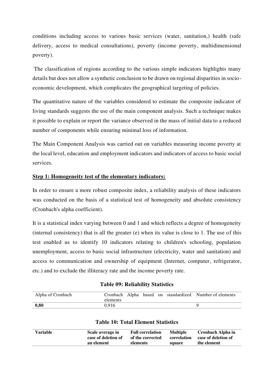conditions including access to various basic services (water, sanitation,) health (safe delivery, access to medical consultations), poverty (income poverty, multidimensional poverty).

 The classification of regions according to the various simple indicators highlights many details but does not allow a synthetic conclusion to be drawn on regional disparities in socioeconomic development, which complicates the geographical targeting of policies.

The quantitative nature of the variables considered to estimate the composite indicator of living standards suggests the use of the main component analysis. Such a technique makes it possible to explain or report the variance observed in the mass of initial data to a reduced number of components while ensuring minimal loss of information.

The Main Component Analysis was carried out on variables measuring income poverty at the local level, education and employment indicators and indicators of access to basic social services.

# **Step 1: Homogeneity test of the elementary indicators:**

In order to ensure a more robust composite index, a reliability analysis of these indicators was conducted on the basis of a statistical test of homogeneity and absolute consistency (Cronbach's alpha coefficient).

It is a statistical index varying between 0 and 1 and which reflects a degree of homogeneity (internal consistency) that is all the greater (e) when its value is close to 1. The use of this test enabled us to identify 10 indicators relating to children's schooling, population unemployment, access to basic social infrastructure (electricity, water and sanitation) and access to communication and ownership of equipment (Internet, computer, refrigerator, etc.) and to exclude the illiteracy rate and the income poverty rate.

#### **Table 09: Reliability Statistics**

| Alpha of Cronbach | elements |  |  | Cronbach Alpha based on standardized Number of elements |
|-------------------|----------|--|--|---------------------------------------------------------|
| 0,80              | 0.916    |  |  |                                                         |

| Variable | Scale average in<br>case of deletion of<br>an element | <b>Full correlation</b><br>of the corrected<br>elements | <b>Multiple</b><br>correlation<br>square | Cronbach Alpha in<br>case of deletion of<br>the element |
|----------|-------------------------------------------------------|---------------------------------------------------------|------------------------------------------|---------------------------------------------------------|
|          |                                                       |                                                         |                                          |                                                         |

## **Table 10: Total Element Statistics**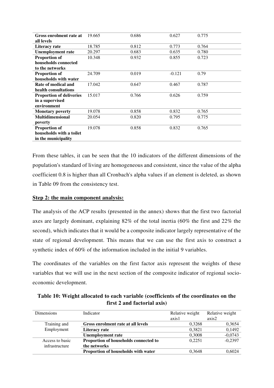| Gross enrolment rate at         | 19.665 | 0.686 | 0.627    | 0.775 |  |
|---------------------------------|--------|-------|----------|-------|--|
| all levels                      |        |       |          |       |  |
| Literacy rate                   | 18.785 | 0.812 | 0.773    | 0.764 |  |
| <b>Unemployment rate</b>        | 20.297 | 0.683 | 0.635    | 0.780 |  |
| <b>Proportion of</b>            | 10.348 | 0.932 | 0.855    | 0.723 |  |
| households connected            |        |       |          |       |  |
| to the networks                 |        |       |          |       |  |
| <b>Proportion of</b>            | 24.709 | 0.019 | $-0.121$ | 0.79  |  |
| households with water           |        |       |          |       |  |
| Rate of medical and             | 17.042 | 0.647 | 0.467    | 0.787 |  |
| health consultations            |        |       |          |       |  |
| <b>Proportion of deliveries</b> | 15.017 | 0.766 | 0.626    | 0.759 |  |
| in a supervised                 |        |       |          |       |  |
| environment                     |        |       |          |       |  |
| <b>Monetary poverty</b>         | 19.078 | 0.858 | 0.832    | 0.765 |  |
| <b>Multidimensional</b>         | 20.054 | 0.820 | 0.795    | 0.775 |  |
| poverty                         |        |       |          |       |  |
| <b>Proportion of</b>            | 19.078 | 0.858 | 0.832    | 0.765 |  |
| households with a toilet        |        |       |          |       |  |
| in the municipality             |        |       |          |       |  |

From these tables, it can be seen that the 10 indicators of the different dimensions of the population's standard of living are homogeneous and consistent, since the value of the alpha coefficient 0.8 is higher than all Cronbach's alpha values if an element is deleted, as shown in Table 09 from the consistency test.

## **Step 2: the main component analysis:**

The analysis of the ACP results (presented in the annex) shows that the first two factorial axes are largely dominant, explaining 82% of the total inertia (60% the first and 22% the second), which indicates that it would be a composite indicator largely representative of the state of regional development. This means that we can use the first axis to construct a synthetic index of 60% of the information included in the initial 9 variables.

The coordinates of the variables on the first factor axis represent the weights of these variables that we will use in the next section of the composite indicator of regional socioeconomic development.

**Table 10: Weight allocated to each variable (coefficients of the coordinates on the first 2 and factorial axis)** 

| <b>Dimensions</b> | Indicator                             | Relative weight<br>axis1 | Relative weight<br>axis2 |
|-------------------|---------------------------------------|--------------------------|--------------------------|
| Training and      | Gross enrolment rate at all levels    | 0.3268                   | 0,3654                   |
| Employment        | Literacy rate                         | 0.3821                   | 0,1492                   |
|                   | <b>Unemployment rate</b>              | 0,3008                   | $-0,0743$                |
| Access to basic   | Proportion of households connected to | 0.2251                   | $-0,2397$                |
| infrastructure    | the networks                          |                          |                          |
|                   | Proportion of households with water   | 0.3648                   | 0.6024                   |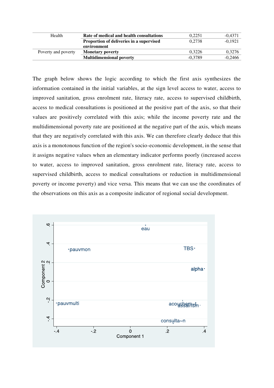| Health              | Rate of medical and health consultations | 0.2251    | $-0.4371$ |
|---------------------|------------------------------------------|-----------|-----------|
|                     |                                          |           |           |
|                     | Proportion of deliveries in a supervised | 0.2738    | $-0.1921$ |
|                     | environment                              |           |           |
| Poverty and poverty | <b>Monetary poverty</b>                  | 0.3226    | 0,3276    |
|                     | <b>Multidimensional poverty</b>          | $-0.3789$ | $-0,2466$ |

The graph below shows the logic according to which the first axis synthesizes the information contained in the initial variables, at the sign level access to water, access to improved sanitation, gross enrolment rate, literacy rate, access to supervised childbirth, access to medical consultations is positioned at the positive part of the axis, so that their values are positively correlated with this axis; while the income poverty rate and the multidimensional poverty rate are positioned at the negative part of the axis, which means that they are negatively correlated with this axis. We can therefore clearly deduce that this axis is a monotonous function of the region's socio-economic development, in the sense that it assigns negative values when an elementary indicator performs poorly (increased access to water, access to improved sanitation, gross enrolment rate, literacy rate, access to supervised childbirth, access to medical consultations or reduction in multidimensional poverty or income poverty) and vice versa. This means that we can use the coordinates of the observations on this axis as a composite indicator of regional social development.

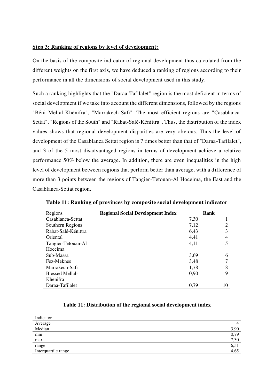# **Step 3: Ranking of regions by level of development:**

On the basis of the composite indicator of regional development thus calculated from the different weights on the first axis, we have deduced a ranking of regions according to their performance in all the dimensions of social development used in this study.

Such a ranking highlights that the "Daraa-Tafilalet" region is the most deficient in terms of social development if we take into account the different dimensions, followed by the regions "Béni Mellal-Khénifra", "Marrakech-Safi". The most efficient regions are "Casablanca-Settat", "Regions of the South" and "Rabat-Salé-Kénittra". Thus, the distribution of the index values shows that regional development disparities are very obvious. Thus the level of development of the Casablanca Settat region is 7 times better than that of "Daraa-Tafilalet", and 3 of the 5 most disadvantaged regions in terms of development achieve a relative performance 50% below the average. In addition, there are even inequalities in the high level of development between regions that perform better than average, with a difference of more than 3 points between the regions of Tangier-Tetouan-Al Hoceima, the East and the Casablanca-Settat region.

| Regions                | <b>Regional Social Development Index</b> |      | Rank           |
|------------------------|------------------------------------------|------|----------------|
| Casablanca-Settat      |                                          | 7,30 |                |
| Southern Regions       |                                          | 7,12 | 2              |
| Rabat-Salé-Kénittra    |                                          | 6.43 | 3              |
| Oriental               |                                          | 4,41 | $\overline{4}$ |
| Tangier-Tetouan-Al     |                                          | 4,11 | 5              |
| Hoceima                |                                          |      |                |
| Sub-Massa              |                                          | 3,69 | 6              |
| Fez-Meknes             |                                          | 3,48 | 7              |
| Marrakech-Safi         |                                          | 1,78 | 8              |
| <b>Blessed Mellal-</b> |                                          | 0.90 | 9              |
| Khenifra               |                                          |      |                |
| Daraa-Tafilalet        |                                          | 0.79 | 10             |

**Table 11: Ranking of provinces by composite social development indicator** 

## **Table 11: Distribution of the regional social development index**

| Indicator           |      |
|---------------------|------|
| Average<br>Median   |      |
|                     | 3,90 |
| min                 | 0,79 |
| max                 | 7,30 |
| range               | 6,51 |
| Interquartile range |      |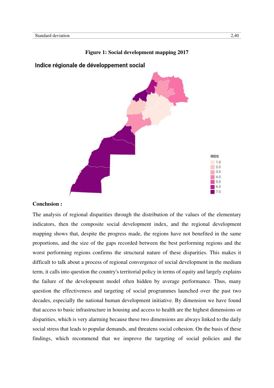

#### **Figure 1: Social development mapping 2017**

# Indice régionale de développement social

#### **Conclusion :**

The analysis of regional disparities through the distribution of the values of the elementary indicators, then the composite social development index, and the regional development mapping shows that, despite the progress made, the regions have not benefited in the same proportions, and the size of the gaps recorded between the best performing regions and the worst performing regions confirms the structural nature of these disparities. This makes it difficult to talk about a process of regional convergence of social development in the medium term, it calls into question the country's territorial policy in terms of equity and largely explains the failure of the development model often hidden by average performance. Thus, many question the effectiveness and targeting of social programmes launched over the past two decades, especially the national human development initiative. By dimension we have found that access to basic infrastructure in housing and access to health are the highest dimensions or disparities, which is very alarming because these two dimensions are always linked to the daily social stress that leads to popular demands, and threatens social cohesion. On the basis of these findings, which recommend that we improve the targeting of social policies and the